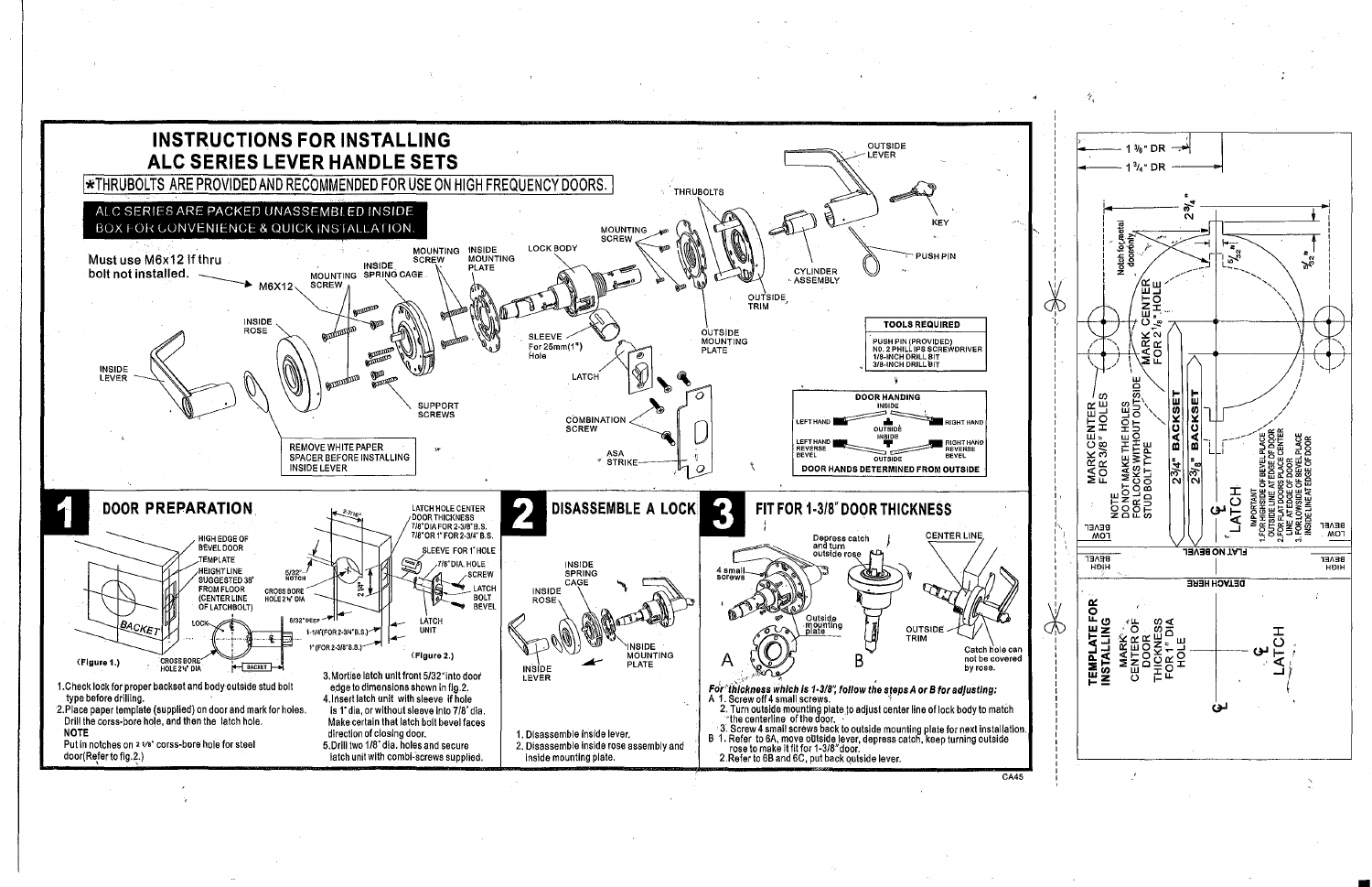